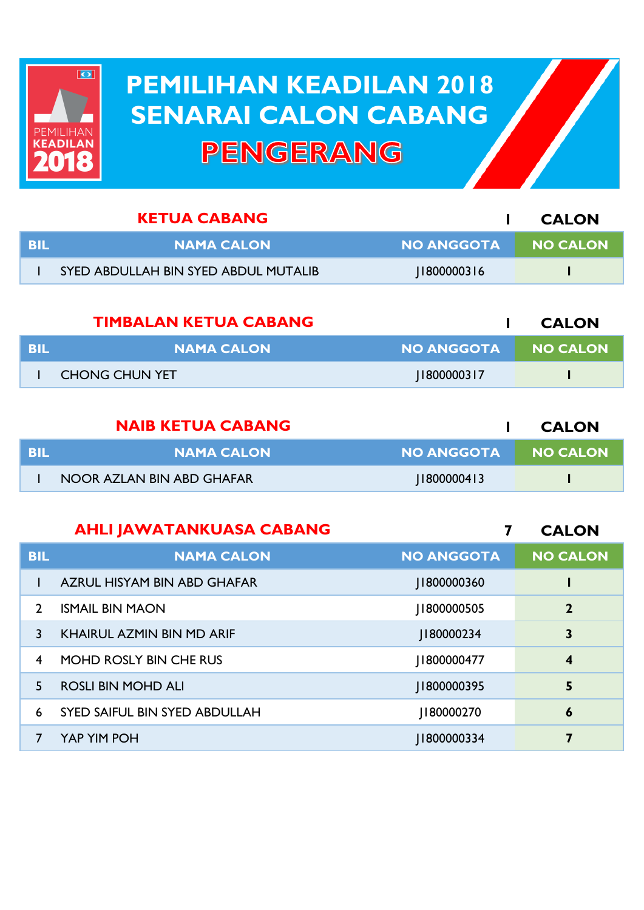

## **PEMILIHAN KEADILAN 2018 PEMILIHAN KEADILAN 2018 SENARAI CALON CABANG SENARAI CALON CABANGPENGERANG**

|            | <b>KETUA CABANG</b>                  |                   | <b>CALON</b>    |
|------------|--------------------------------------|-------------------|-----------------|
| <b>BIL</b> | <b>NAMA CALON</b>                    | <b>NO ANGGOTA</b> | <b>NO CALON</b> |
|            | SYED ABDULLAH BIN SYED ABDUL MUTALIB | 1800000316        |                 |
|            | <b>TIMBALAN KETUA CABANG</b>         |                   | <b>CALON</b>    |
|            |                                      |                   |                 |

| - BIL | <b>NAMA CALON</b>                    | NO ANGGOTA NO CALON |
|-------|--------------------------------------|---------------------|
|       | <b>CHONG CHUN YET</b><br> 1800000317 |                     |

|      | <b>NAIB KETUA CABANG</b>  |            | <b>CALON</b>    |
|------|---------------------------|------------|-----------------|
| -BIL | <b>NAMA CALON</b>         | NO ANGGOTA | <b>NO CALON</b> |
|      | NOOR AZLAN BIN ABD GHAFAR | 1800000413 |                 |

| <b>AHLI JAWATANKUASA CABANG</b> |  |
|---------------------------------|--|
|---------------------------------|--|

**7 CALON**

| <b>BIL</b>     | <b>NAMA CALON</b>             | <b>NO ANGGOTA</b> | <b>NO CALON</b> |
|----------------|-------------------------------|-------------------|-----------------|
|                | AZRUL HISYAM BIN ABD GHAFAR   | 1800000360        |                 |
| $\mathcal{P}$  | <b>ISMAIL BIN MAON</b>        | 1800000505        | $\mathbf{2}$    |
| 3              | KHAIRUL AZMIN BIN MD ARIF     | J180000234        | 3               |
| $\overline{4}$ | MOHD ROSLY BIN CHE RUS        | 1800000477        | 4               |
| 5.             | <b>ROSLI BIN MOHD ALI</b>     | 1800000395        | 5               |
| 6              | SYED SAIFUL BIN SYED ABDULLAH | J180000270        | 6               |
|                | YAP YIM POH                   | 1800000334        | 7               |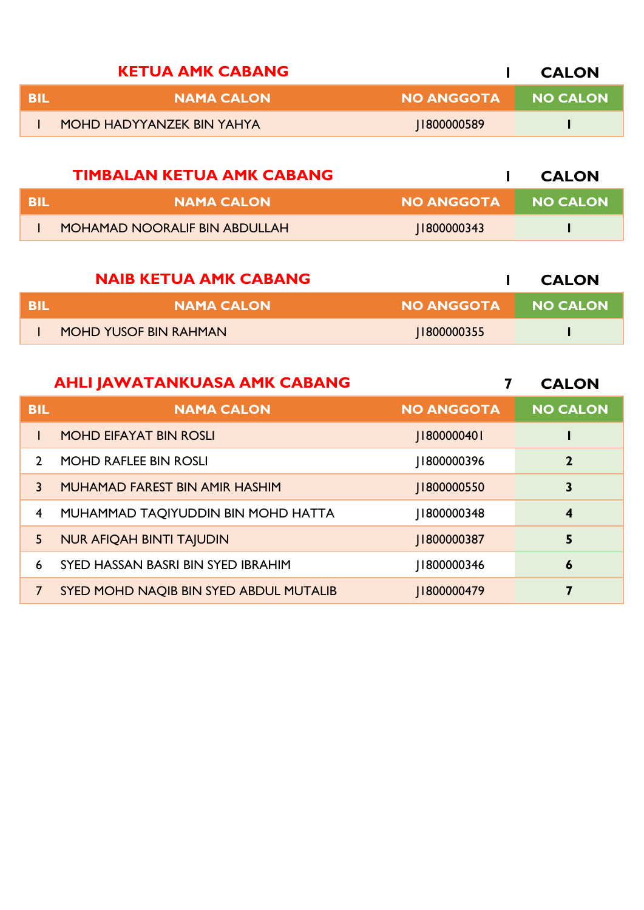| <b>KETUA AMK CABANG</b>   |                   | <b>CALON</b> |
|---------------------------|-------------------|--------------|
| <b>NAMA CALON</b>         | <b>NO ANGGOTA</b> | NO CALON     |
| MOHD HADYYANZEK BIN YAHYA | 1800000589        |              |

|            | <b>TIMBALAN KETUA AMK CABANG</b> |                   | <b>CALON</b> |
|------------|----------------------------------|-------------------|--------------|
| <b>BIL</b> | <b>NAMA CALON</b>                | <b>NO ANGGOTA</b> | NO CALON     |
|            | MOHAMAD NOORALIF BIN ABDULLAH    | 1800000343        |              |

|     | <b>NAIB KETUA AMK CABANG</b> |              | <b>CALON</b> |
|-----|------------------------------|--------------|--------------|
| BIL | <b>NAMA CALON</b>            | NO ANGGOTA I | NO CALON     |
|     | <b>MOHD YUSOF BIN RAHMAN</b> | 1800000355   |              |
|     |                              |              |              |

|                | <b>AHLI JAWATANKUASA AMK CABANG</b>    |                   | <b>CALON</b>            |
|----------------|----------------------------------------|-------------------|-------------------------|
| <b>BIL</b>     | <b>NAMA CALON</b>                      | <b>NO ANGGOTA</b> | <b>NO CALON</b>         |
|                | <b>MOHD EIFAYAT BIN ROSLI</b>          | J1800000401       |                         |
| $\overline{2}$ | <b>MOHD RAFLEE BIN ROSLI</b>           | 1800000396        | $\mathbf{2}$            |
| 3              | MUHAMAD FAREST BIN AMIR HASHIM         | 1800000550        | 3                       |
| $\overline{4}$ | MUHAMMAD TAQIYUDDIN BIN MOHD HATTA     | 1800000348        | $\overline{\mathbf{4}}$ |
| 5              | <b>NUR AFIQAH BINTI TAJUDIN</b>        | J1800000387       | 5                       |
| 6              | SYED HASSAN BASRI BIN SYED IBRAHIM     | 1800000346        | $\boldsymbol{6}$        |
|                | SYED MOHD NAQIB BIN SYED ABDUL MUTALIB | 1800000479        | 7                       |